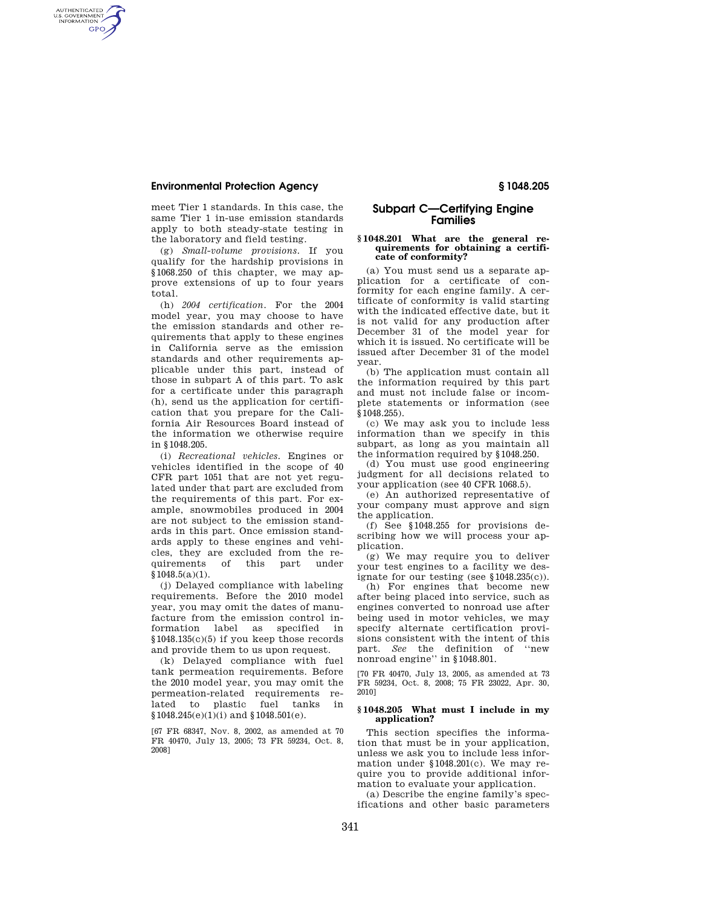## **Environmental Protection Agency § 1048.205**

AUTHENTICATED<br>U.S. GOVERNMENT<br>INFORMATION **GPO** 

> meet Tier 1 standards. In this case, the same Tier 1 in-use emission standards apply to both steady-state testing in the laboratory and field testing.

(g) *Small-volume provisions.* If you qualify for the hardship provisions in §1068.250 of this chapter, we may approve extensions of up to four years total.

(h) *2004 certification.* For the 2004 model year, you may choose to have the emission standards and other requirements that apply to these engines in California serve as the emission standards and other requirements applicable under this part, instead of those in subpart A of this part. To ask for a certificate under this paragraph (h), send us the application for certification that you prepare for the California Air Resources Board instead of the information we otherwise require in §1048.205.

(i) *Recreational vehicles.* Engines or vehicles identified in the scope of 40 CFR part 1051 that are not yet regulated under that part are excluded from the requirements of this part. For example, snowmobiles produced in 2004 are not subject to the emission standards in this part. Once emission standards apply to these engines and vehicles, they are excluded from the requirements of this part under §1048.5(a)(1).

(j) Delayed compliance with labeling requirements. Before the 2010 model year, you may omit the dates of manufacture from the emission control information label as specified in §1048.135(c)(5) if you keep those records and provide them to us upon request.

(k) Delayed compliance with fuel tank permeation requirements. Before the 2010 model year, you may omit the permeation-related requirements related to plastic fuel tanks in §1048.245(e)(1)(i) and §1048.501(e).

[67 FR 68347, Nov. 8, 2002, as amended at 70 FR 40470, July 13, 2005; 73 FR 59234, Oct. 8, 2008]

# **Subpart C—Certifying Engine Families**

### **§ 1048.201 What are the general requirements for obtaining a certificate of conformity?**

(a) You must send us a separate application for a certificate of conformity for each engine family. A certificate of conformity is valid starting with the indicated effective date, but it is not valid for any production after December 31 of the model year for which it is issued. No certificate will be issued after December 31 of the model year.

(b) The application must contain all the information required by this part and must not include false or incomplete statements or information (see §1048.255).

(c) We may ask you to include less information than we specify in this subpart, as long as you maintain all the information required by §1048.250.

(d) You must use good engineering judgment for all decisions related to your application (see 40 CFR 1068.5).

(e) An authorized representative of your company must approve and sign the application.

(f) See §1048.255 for provisions describing how we will process your application.

(g) We may require you to deliver your test engines to a facility we designate for our testing (see §1048.235(c)).

(h) For engines that become new after being placed into service, such as engines converted to nonroad use after being used in motor vehicles, we may specify alternate certification provisions consistent with the intent of this part. *See* the definition of ''new nonroad engine'' in §1048.801.

[70 FR 40470, July 13, 2005, as amended at 73 FR 59234, Oct. 8, 2008; 75 FR 23022, Apr. 30, 2010]

## **§ 1048.205 What must I include in my application?**

This section specifies the information that must be in your application, unless we ask you to include less information under §1048.201(c). We may require you to provide additional information to evaluate your application.

(a) Describe the engine family's specifications and other basic parameters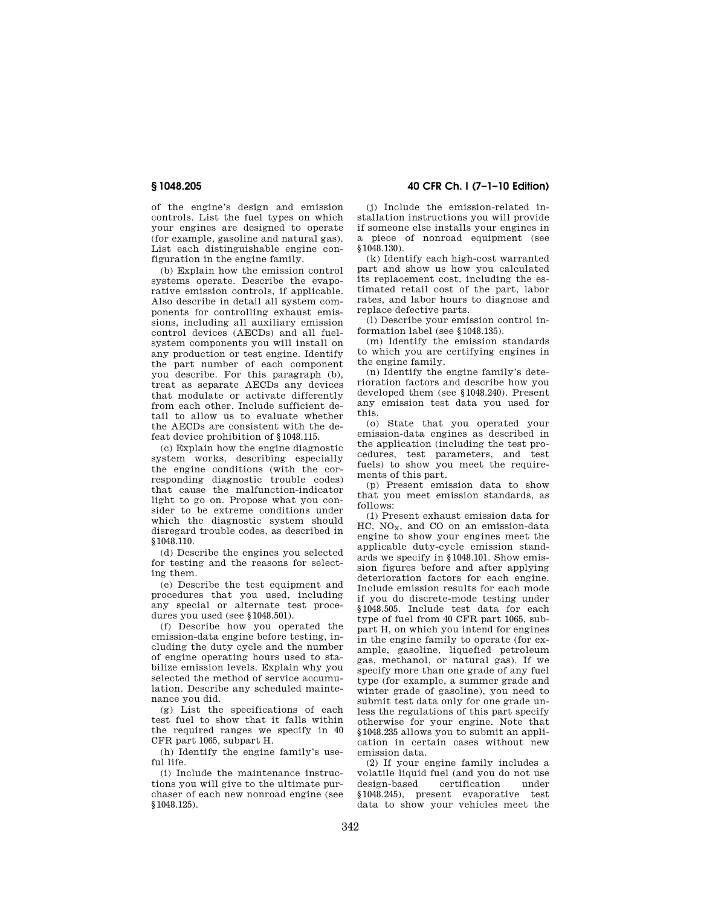of the engine's design and emission controls. List the fuel types on which your engines are designed to operate (for example, gasoline and natural gas). List each distinguishable engine configuration in the engine family.

(b) Explain how the emission control systems operate. Describe the evaporative emission controls, if applicable. Also describe in detail all system components for controlling exhaust emissions, including all auxiliary emission control devices (AECDs) and all fuelsystem components you will install on any production or test engine. Identify the part number of each component you describe. For this paragraph (b), treat as separate AECDs any devices that modulate or activate differently from each other. Include sufficient detail to allow us to evaluate whether the AECDs are consistent with the defeat device prohibition of §1048.115.

(c) Explain how the engine diagnostic system works, describing especially the engine conditions (with the corresponding diagnostic trouble codes) that cause the malfunction-indicator light to go on. Propose what you consider to be extreme conditions under which the diagnostic system should disregard trouble codes, as described in §1048.110.

(d) Describe the engines you selected for testing and the reasons for selecting them.

(e) Describe the test equipment and procedures that you used, including any special or alternate test procedures you used (see §1048.501).

(f) Describe how you operated the emission-data engine before testing, including the duty cycle and the number of engine operating hours used to stabilize emission levels. Explain why you selected the method of service accumulation. Describe any scheduled maintenance you did.

(g) List the specifications of each test fuel to show that it falls within the required ranges we specify in 40 CFR part 1065, subpart H.

(h) Identify the engine family's useful life.

(i) Include the maintenance instructions you will give to the ultimate purchaser of each new nonroad engine (see §1048.125).

**§ 1048.205 40 CFR Ch. I (7–1–10 Edition)** 

(j) Include the emission-related installation instructions you will provide if someone else installs your engines in a piece of nonroad equipment (see §1048.130).

(k) Identify each high-cost warranted part and show us how you calculated its replacement cost, including the estimated retail cost of the part, labor rates, and labor hours to diagnose and replace defective parts.

(l) Describe your emission control information label (see §1048.135).

(m) Identify the emission standards to which you are certifying engines in the engine family.

(n) Identify the engine family's deterioration factors and describe how you developed them (see §1048.240). Present any emission test data you used for this.

(o) State that you operated your emission-data engines as described in the application (including the test procedures, test parameters, and test fuels) to show you meet the requirements of this part.

(p) Present emission data to show that you meet emission standards, as follows:

(1) Present exhaust emission data for HC, NO<sub>x</sub>, and CO on an emission-data engine to show your engines meet the applicable duty-cycle emission standards we specify in §1048.101. Show emission figures before and after applying deterioration factors for each engine. Include emission results for each mode if you do discrete-mode testing under §1048.505. Include test data for each type of fuel from 40 CFR part 1065, subpart H, on which you intend for engines in the engine family to operate (for example, gasoline, liquefied petroleum gas, methanol, or natural gas). If we specify more than one grade of any fuel type (for example, a summer grade and winter grade of gasoline), you need to submit test data only for one grade unless the regulations of this part specify otherwise for your engine. Note that §1048.235 allows you to submit an application in certain cases without new emission data.

(2) If your engine family includes a volatile liquid fuel (and you do not use design-based certification under §1048.245), present evaporative test data to show your vehicles meet the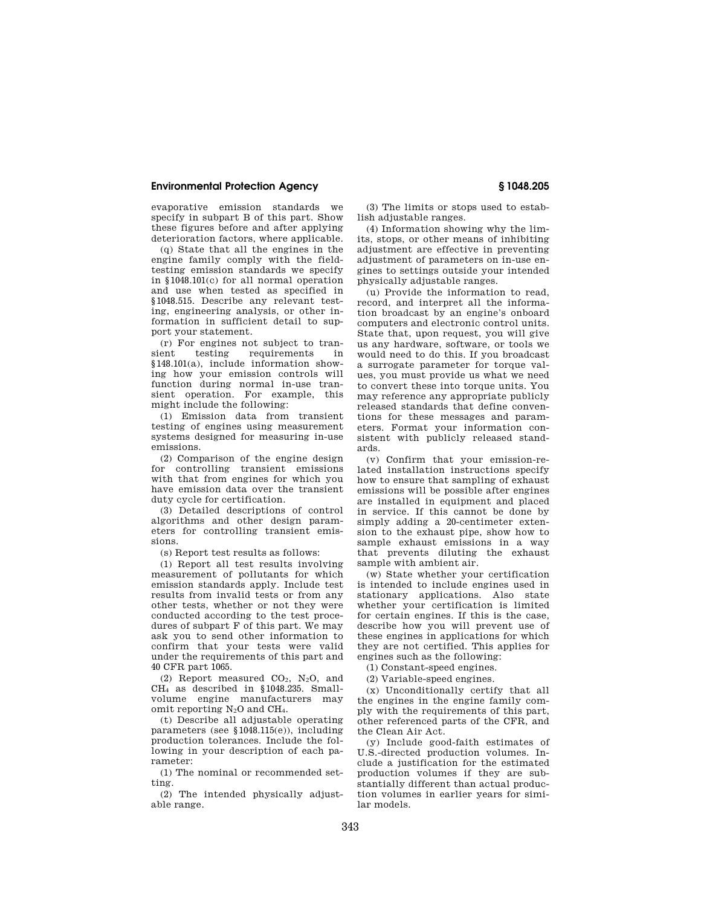## **Environmental Protection Agency § 1048.205**

evaporative emission standards we specify in subpart B of this part. Show these figures before and after applying deterioration factors, where applicable.

(q) State that all the engines in the engine family comply with the fieldtesting emission standards we specify in §1048.101(c) for all normal operation and use when tested as specified in §1048.515. Describe any relevant testing, engineering analysis, or other information in sufficient detail to support your statement.

(r) For engines not subject to transient testing requirements in §148.101(a), include information showing how your emission controls will function during normal in-use transient operation. For example, this might include the following:

(1) Emission data from transient testing of engines using measurement systems designed for measuring in-use emissions.

(2) Comparison of the engine design for controlling transient emissions with that from engines for which you have emission data over the transient duty cycle for certification.

(3) Detailed descriptions of control algorithms and other design parameters for controlling transient emissions.

(s) Report test results as follows:

(1) Report all test results involving measurement of pollutants for which emission standards apply. Include test results from invalid tests or from any other tests, whether or not they were conducted according to the test procedures of subpart F of this part. We may ask you to send other information to confirm that your tests were valid under the requirements of this part and 40 CFR part 1065.

(2) Report measured  $CO<sub>2</sub>$ , N<sub>2</sub>O, and CH<sup>4</sup> as described in §1048.235. Smallvolume engine manufacturers may omit reporting  $N_2O$  and  $CH_4$ .

(t) Describe all adjustable operating parameters (see §1048.115(e)), including production tolerances. Include the following in your description of each parameter:

(1) The nominal or recommended setting.

(2) The intended physically adjustable range.

(3) The limits or stops used to establish adjustable ranges.

(4) Information showing why the limits, stops, or other means of inhibiting adjustment are effective in preventing adjustment of parameters on in-use engines to settings outside your intended physically adjustable ranges.

(u) Provide the information to read, record, and interpret all the information broadcast by an engine's onboard computers and electronic control units. State that, upon request, you will give us any hardware, software, or tools we would need to do this. If you broadcast a surrogate parameter for torque values, you must provide us what we need to convert these into torque units. You may reference any appropriate publicly released standards that define conventions for these messages and parameters. Format your information consistent with publicly released standards.

(v) Confirm that your emission-related installation instructions specify how to ensure that sampling of exhaust emissions will be possible after engines are installed in equipment and placed in service. If this cannot be done by simply adding a 20-centimeter extension to the exhaust pipe, show how to sample exhaust emissions in a way that prevents diluting the exhaust sample with ambient air.

(w) State whether your certification is intended to include engines used in stationary applications. Also state whether your certification is limited for certain engines. If this is the case, describe how you will prevent use of these engines in applications for which they are not certified. This applies for engines such as the following:

(1) Constant-speed engines.

(2) Variable-speed engines.

(x) Unconditionally certify that all the engines in the engine family comply with the requirements of this part, other referenced parts of the CFR, and the Clean Air Act.

(y) Include good-faith estimates of U.S.-directed production volumes. Include a justification for the estimated production volumes if they are substantially different than actual production volumes in earlier years for similar models.